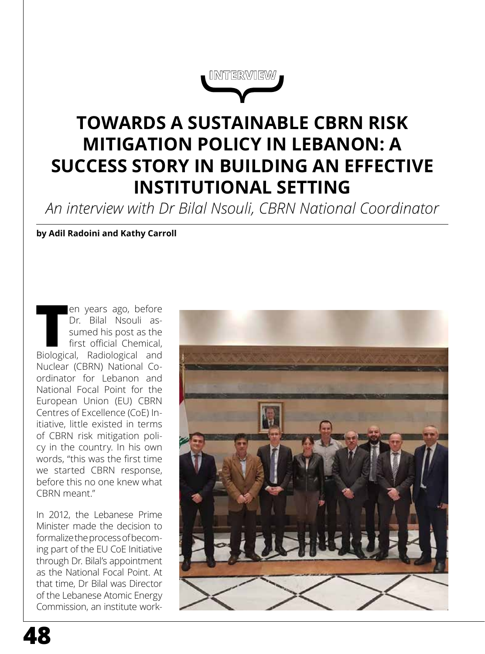

# **TOWARDS A SUSTAINABLE CBRN RISK MITIGATION POLICY IN LEBANON: A SUCCESS STORY IN BUILDING AN EFFECTIVE INSTITUTIONAL SETTING**

*An interview with Dr Bilal Nsouli, CBRN National Coordinator*

**by Adil Radoini and Kathy Carroll**

**The Parameter School Controller School** assumed his post as the first official Chemical, Biological, Radiological and Dr. Bilal Nsouli assumed his post as the first official Chemical, Nuclear (CBRN) National Coordinator for Lebanon and National Focal Point for the European Union (EU) CBRN Centres of Excellence (CoE) Initiative, little existed in terms of CBRN risk mitigation policy in the country. In his own words, "this was the first time we started CBRN response, before this no one knew what CBRN meant."

In 2012, the Lebanese Prime Minister made the decision to formalize the process of becoming part of the EU CoE Initiative through Dr. Bilal's appointment as the National Focal Point. At that time, Dr Bilal was Director of the Lebanese Atomic Energy Commission, an institute work-

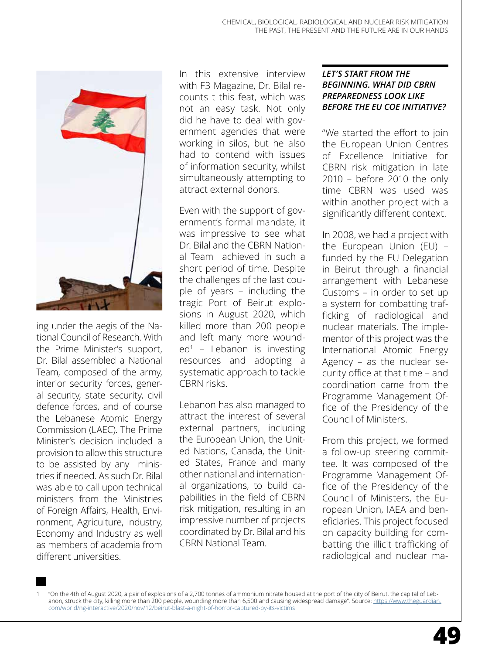

ing under the aegis of the National Council of Research. With the Prime Minister's support, Dr. Bilal assembled a National Team, composed of the army, interior security forces, general security, state security, civil defence forces, and of course the Lebanese Atomic Energy Commission (LAEC). The Prime Minister's decision included a provision to allow this structure to be assisted by any ministries if needed. As such Dr. Bilal was able to call upon technical ministers from the Ministries of Foreign Affairs, Health, Environment, Agriculture, Industry, Economy and Industry as well as members of academia from different universities.

In this extensive interview with F3 Magazine, Dr. Bilal recounts t this feat, which was not an easy task. Not only did he have to deal with government agencies that were working in silos, but he also had to contend with issues of information security, whilst simultaneously attempting to attract external donors.

Even with the support of government's formal mandate, it was impressive to see what Dr. Bilal and the CBRN National Team achieved in such a short period of time. Despite the challenges of the last couple of years – including the tragic Port of Beirut explosions in August 2020, which killed more than 200 people and left many more wounded<sup>1</sup> – Lebanon is investing resources and adopting a systematic approach to tackle CBRN risks.

Lebanon has also managed to attract the interest of several external partners, including the European Union, the United Nations, Canada, the United States, France and many other national and international organizations, to build capabilities in the field of CBRN risk mitigation, resulting in an impressive number of projects coordinated by Dr. Bilal and his CBRN National Team.

#### *LET'S START FROM THE BEGINNING. WHAT DID CBRN PREPAREDNESS LOOK LIKE BEFORE THE EU COE INITIATIVE?*

"We started the effort to join the European Union Centres of Excellence Initiative for CBRN risk mitigation in late 2010 – before 2010 the only time CBRN was used was within another project with a significantly different context.

In 2008, we had a project with the European Union (EU) – funded by the EU Delegation in Beirut through a financial arrangement with Lebanese Customs – in order to set up a system for combatting trafficking of radiological and nuclear materials. The implementor of this project was the International Atomic Energy Agency – as the nuclear security office at that time – and coordination came from the Programme Management Office of the Presidency of the Council of Ministers.

From this project, we formed a follow-up steering committee. It was composed of the Programme Management Office of the Presidency of the Council of Ministers, the European Union, IAEA and beneficiaries. This project focused on capacity building for combatting the illicit trafficking of radiological and nuclear ma-

1 "On the 4th of August 2020, a pair of explosions of a 2,700 tonnes of [ammonium nitrate](https://en.wikipedia.org/wiki/Ammonium_nitrate) housed at [the port](https://en.wikipedia.org/wiki/Port_of_Beirut) of the city of [Beirut](https://en.wikipedia.org/wiki/Beirut), the capital of [Leb](https://en.wikipedia.org/wiki/Lebanon)[anon,](https://en.wikipedia.org/wiki/Lebanon) struck the city, killing more than 200 people, wounding more than 6,500 and causing widespread damage". Source: [https://www.theguardian.](https://www.theguardian.com/world/ng-interactive/2020/nov/12/beirut-blast-a-night-of-horror-captured-by-its-victims) [com/world/ng-interactive/2020/nov/12/beirut-blast-a-night-of-horror-captured-by-its-victims](https://www.theguardian.com/world/ng-interactive/2020/nov/12/beirut-blast-a-night-of-horror-captured-by-its-victims)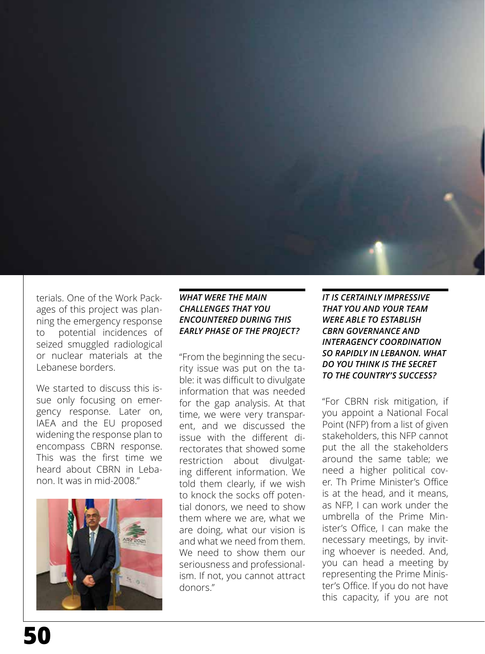

terials. One of the Work Packages of this project was planning the emergency response to potential incidences of seized smuggled radiological or nuclear materials at the Lebanese borders.

We started to discuss this issue only focusing on emergency response. Later on, IAEA and the EU proposed widening the response plan to encompass CBRN response. This was the first time we heard about CBRN in Lebanon. It was in mid-2008."



## *WHAT WERE THE MAIN CHALLENGES THAT YOU ENCOUNTERED DURING THIS EARLY PHASE OF THE PROJECT?*

"From the beginning the security issue was put on the table: it was difficult to divulgate information that was needed for the gap analysis. At that time, we were very transparent, and we discussed the issue with the different directorates that showed some restriction about divulgating different information. We told them clearly, if we wish to knock the socks off potential donors, we need to show them where we are, what we are doing, what our vision is and what we need from them. We need to show them our seriousness and professionalism. If not, you cannot attract donors."

*IT IS CERTAINLY IMPRESSIVE THAT YOU AND YOUR TEAM WERE ABLE TO ESTABLISH CBRN GOVERNANCE AND INTERAGENCY COORDINATION SO RAPIDLY IN LEBANON. WHAT DO YOU THINK IS THE SECRET TO THE COUNTRY'S SUCCESS?*

"For CBRN risk mitigation, if you appoint a National Focal Point (NFP) from a list of given stakeholders, this NFP cannot put the all the stakeholders around the same table; we need a higher political cover. Th Prime Minister's Office is at the head, and it means, as NFP, I can work under the umbrella of the Prime Minister's Office, I can make the necessary meetings, by inviting whoever is needed. And, you can head a meeting by representing the Prime Minister's Office. If you do not have this capacity, if you are not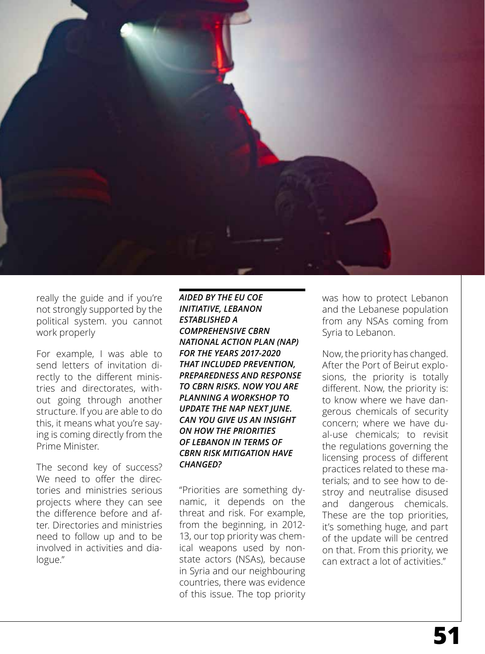

really the guide and if you're not strongly supported by the political system. you cannot work properly

For example, I was able to send letters of invitation directly to the different ministries and directorates, without going through another structure. If you are able to do this, it means what you're saying is coming directly from the Prime Minister.

The second key of success? We need to offer the directories and ministries serious projects where they can see the difference before and after. Directories and ministries need to follow up and to be involved in activities and dialogue."

*AIDED BY THE EU COE INITIATIVE, LEBANON ESTABLISHED A COMPREHENSIVE CBRN NATIONAL ACTION PLAN (NAP) FOR THE YEARS 2017-2020 THAT INCLUDED PREVENTION, PREPAREDNESS AND RESPONSE TO CBRN RISKS. NOW YOU ARE PLANNING A WORKSHOP TO UPDATE THE NAP NEXT JUNE. CAN YOU GIVE US AN INSIGHT ON HOW THE PRIORITIES OF LEBANON IN TERMS OF CBRN RISK MITIGATION HAVE CHANGED?*

"Priorities are something dynamic, it depends on the threat and risk. For example, from the beginning, in 2012- 13, our top priority was chemical weapons used by nonstate actors (NSAs), because in Syria and our neighbouring countries, there was evidence of this issue. The top priority was how to protect Lebanon and the Lebanese population from any NSAs coming from Syria to Lebanon.

Now, the priority has changed. After the Port of Beirut explosions, the priority is totally different. Now, the priority is: to know where we have dangerous chemicals of security concern; where we have dual-use chemicals; to revisit the regulations governing the licensing process of different practices related to these materials; and to see how to destroy and neutralise disused and dangerous chemicals. These are the top priorities, it's something huge, and part of the update will be centred on that. From this priority, we can extract a lot of activities."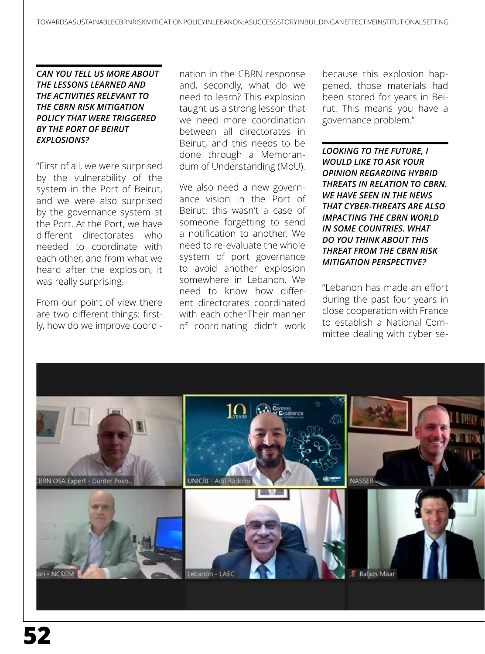## *CAN YOU TELL US MORE ABOUT THE LESSONS LEARNED AND THE ACTIVITIES RELEVANT TO THE CBRN RISK MITIGATION POLICY THAT WERE TRIGGERED BY THE PORT OF BEIRUT EXPLOSIONS?*

"First of all, we were surprised by the vulnerability of the system in the Port of Beirut, and we were also surprised by the governance system at the Port. At the Port, we have different directorates who needed to coordinate with each other, and from what we heard after the explosion, it was really surprising.

From our point of view there are two different things: firstly, how do we improve coordination in the CBRN response and, secondly, what do we need to learn? This explosion taught us a strong lesson that we need more coordination between all directorates in Beirut, and this needs to be done through a Memorandum of Understanding (MoU).

We also need a new governance vision in the Port of Beirut: this wasn't a case of someone forgetting to send a notification to another. We need to re-evaluate the whole system of port governance to avoid another explosion somewhere in Lebanon. We need to know how different directorates coordinated with each other.Their manner of coordinating didn't work

because this explosion happened, those materials had been stored for years in Beirut. This means you have a governance problem."

*LOOKING TO THE FUTURE, I WOULD LIKE TO ASK YOUR OPINION REGARDING HYBRID THREATS IN RELATION TO CBRN. WE HAVE SEEN IN THE NEWS THAT CYBER-THREATS ARE ALSO IMPACTING THE CBRN WORLD IN SOME COUNTRIES. WHAT DO YOU THINK ABOUT THIS THREAT FROM THE CBRN RISK MITIGATION PERSPECTIVE?*

"Lebanon has made an effort during the past four years in close cooperation with France to establish a National Committee dealing with cyber se-